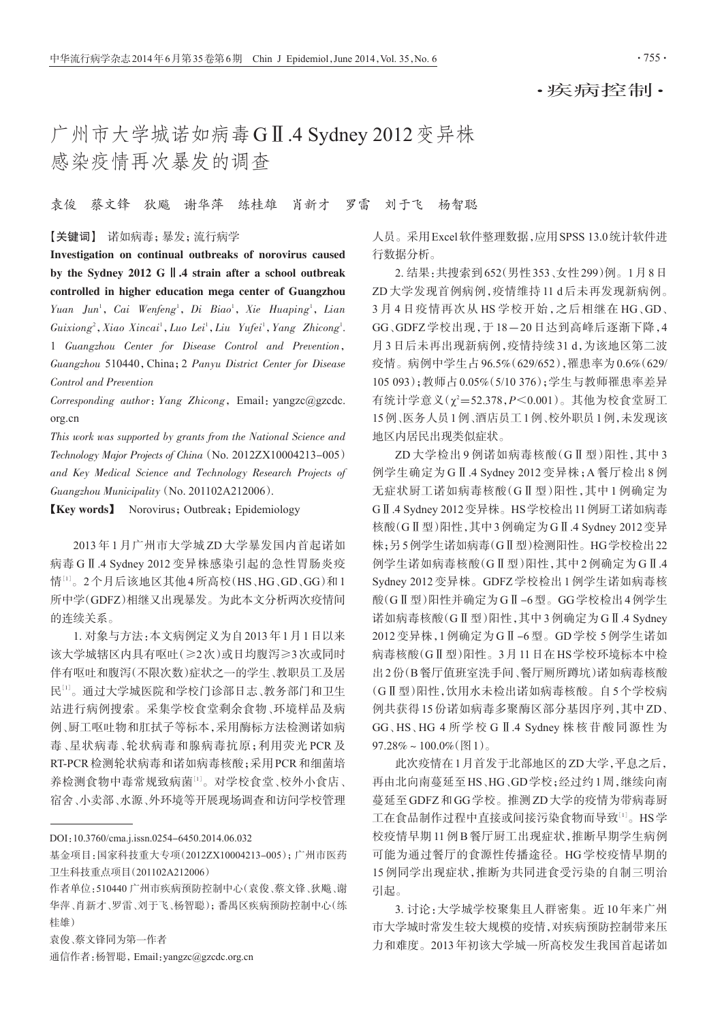## 广州市大学城诺如病毒GⅡ.4 Sydney 2012变异株 感染疫情再次暴发的调查

## 袁俊 蔡文锋 狄飚 谢华萍 练桂雄 肖新才 罗雷 刘于飞 杨智聪

## 【关键词】 诺如病毒;暴发;流行病学

Investigation on continual outbreaks of norovirus caused by the Sydney 2012 G Ⅱ.4 strain after a school outbreak controlled in higher education mega center of Guangzhou Yuan Jun<sup>1</sup>, Cai Wenfeng<sup>1</sup>, Di Biao<sup>1</sup>, Xie Huaping<sup>1</sup>, Lian Guixiong<sup>2</sup>, Xiao Xincai<sup>1</sup>, Luo Lei<sup>1</sup>, Liu Yufei<sup>1</sup>, Yang Zhicong<sup>1</sup>. 1 Guangzhou Center for Disease Control and Prevention, Guangzhou 510440,China;2 Panyu District Center for Disease Control and Prevention

Corresponding author: Yang Zhicong, Email: yangzc@gzcdc. org.cn

This work was supported by grants from the National Science and Technology Major Projects of China (No. 2012ZX10004213-005) and Key Medical Science and Technology Research Projects of Guangzhou Municipality(No. 201102A212006).

【Key words】 Norovirus;Outbreak;Epidemiology

2013 年 1 月广州市大学城 ZD 大学暴发国内首起诺如 病毒 GⅡ.4 Sydney 2012 变异株感染引起的急性胃肠炎疫 情[1]。2个月后该地区其他4所高校(HS、HG、GD、GG)和1 所中学(GDFZ)相继又出现暴发。为此本文分析两次疫情间 的连续关系。

1. 对象与方法:本文病例定义为自2013年1月1日以来 该大学城辖区内具有呕吐(≥2次)或日均腹泻≥3次或同时 伴有呕吐和腹泻(不限次数)症状之一的学生、教职员工及居 民[<sup>1</sup>] 。通过大学城医院和学校门诊部日志、教务部门和卫生 站进行病例搜索。采集学校食堂剩余食物、环境样品及病 例、厨工呕吐物和肛拭子等标本,采用酶标方法检测诺如病 毒、星状病毒、轮状病毒和腺病毒抗原;利用荧光 PCR 及 RT-PCR检测轮状病毒和诺如病毒核酸;采用PCR和细菌培 养检测食物中毒常规致病菌[1]。对学校食堂、校外小食店、 宿舍、小卖部、水源、外环境等开展现场调查和访问学校管理

DOI:10.3760/cma.j.issn.0254-6450.2014.06.032

袁俊、蔡文锋同为第一作者

通信作者:杨智聪,Email:yangzc@gzcdc.org.cn

人员。采用Excel软件整理数据,应用SPSS 13.0统计软件进 行数据分析。

2. 结果:共搜索到652(男性353、女性299)例。1月8日 ZD 大学发现首例病例,疫情维持 11 d 后未再发现新病例。 3 月 4 日疫情再次从 HS 学校开始,之后相继在 HG、GD、 GG、GDFZ 学校出现,于 18-20 日达到高峰后逐渐下降,4 月 3 日后未再出现新病例,疫情持续 31 d,为该地区第二波 疫情。病例中学生占 96.5%(629/652),罹患率为 0.6%(629/ 105 093);教师占0.05%(5/10 376);学生与教师罹患率差异 有统计学意义(χ²=52.378,*P*<0.001)。其他为校食堂厨工 15例、医务人员1例、酒店员工1例、校外职员1例,未发现该 地区内居民出现类似症状。

ZD 大学检出 9 例诺如病毒核酸(GⅡ型)阳性,其中 3 例学生确定为 GⅡ.4 Sydney 2012 变异株;A 餐厅检出 8 例 无症状厨工诺如病毒核酸(GⅡ型)阳性,其中 1 例确定为 GⅡ.4 Sydney 2012变异株。HS学校检出11例厨工诺如病毒 核酸(GⅡ型)阳性,其中3例确定为GⅡ.4 Sydney 2012变异 株;另5例学生诺如病毒(GⅡ型)检测阳性。HG学校检出22 例学生诺如病毒核酸(GⅡ型)阳性,其中 2 例确定为 GⅡ.4 Sydney 2012 变异株。GDFZ 学校检出 1 例学生诺如病毒核 酸(GⅡ型)阳性并确定为GⅡ-6型。GG学校检出4例学生 诺如病毒核酸(GⅡ型)阳性,其中3例确定为GⅡ.4 Sydney 2012 变异株,1 例确定为 GⅡ-6 型。GD 学校 5 例学生诺如 病毒核酸(GⅡ型)阳性。3月11日在HS学校环境标本中检 出2份(B餐厅值班室洗手间、餐厅厕所蹲坑)诺如病毒核酸 (GⅡ型)阳性,饮用水未检出诺如病毒核酸。自5个学校病 例共获得 15 份诺如病毒多聚酶区部分基因序列,其中 ZD、 GG、HS、HG 4 所学校 GⅡ.4 Sydney 株核苷酸同源性为  $97.28\% \sim 100.0\%$  (图1)。

此次疫情在1月首发于北部地区的ZD大学,平息之后, 再由北向南蔓延至HS、HG、GD学校;经过约1周,继续向南 蔓延至GDFZ和GG学校。推测ZD大学的疫情为带病毒厨 工在食品制作过程中直接或间接污染食物而导致<sup>[1]</sup>。HS学 校疫情早期 11 例 B 餐厅厨工出现症状,推断早期学生病例 可能为通过餐厅的食源性传播途径。HG 学校疫情早期的 15 例同学出现症状,推断为共同进食受污染的自制三明治 引起。

3. 讨论:大学城学校聚集且人群密集。近 10 年来广州 市大学城时常发生较大规模的疫情,对疾病预防控制带来压 力和难度。2013年初该大学城一所高校发生我国首起诺如

基金项目:国家科技重大专项(2012ZX10004213-005);广州市医药 卫生科技重点项目(201102A212006)

作者单位:510440 广州市疾病预防控制中心(袁俊、蔡文锋、狄飚、谢 华萍、肖新才、罗雷、刘于飞、杨智聪);番禺区疾病预防控制中心(练 桂雄)